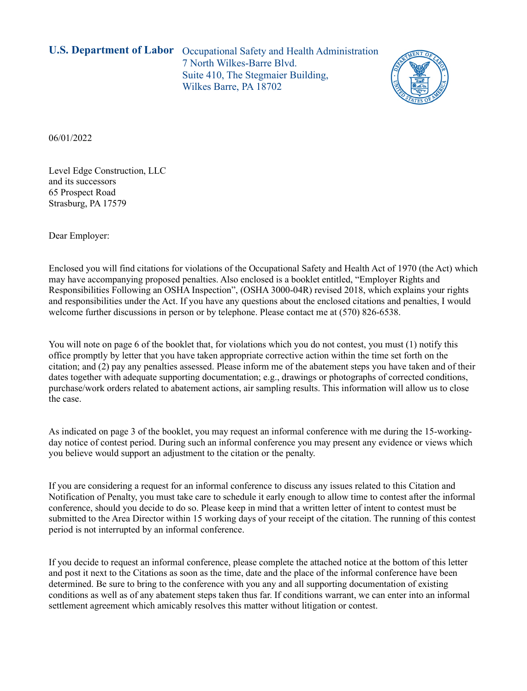**U.S. Department of Labor** Occupational Safety and Health Administration 7 North Wilkes-Barre Blvd. Suite 410, The Stegmaier Building, Wilkes Barre, PA 18702



06/01/2022

Level Edge Construction, LLC and its successors 65 Prospect Road Strasburg, PA 17579

Dear Employer:

Enclosed you will find citations for violations of the Occupational Safety and Health Act of 1970 (the Act) which may have accompanying proposed penalties. Also enclosed is a booklet entitled, "Employer Rights and Responsibilities Following an OSHA Inspection", (OSHA 3000-04R) revised 2018, which explains your rights and responsibilities under the Act. If you have any questions about the enclosed citations and penalties, I would welcome further discussions in person or by telephone. Please contact me at (570) 826-6538.

You will note on page 6 of the booklet that, for violations which you do not contest, you must (1) notify this office promptly by letter that you have taken appropriate corrective action within the time set forth on the citation; and (2) pay any penalties assessed. Please inform me of the abatement steps you have taken and of their dates together with adequate supporting documentation; e.g., drawings or photographs of corrected conditions, purchase/work orders related to abatement actions, air sampling results. This information will allow us to close the case.

As indicated on page 3 of the booklet, you may request an informal conference with me during the 15-workingday notice of contest period. During such an informal conference you may present any evidence or views which you believe would support an adjustment to the citation or the penalty.

If you are considering a request for an informal conference to discuss any issues related to this Citation and Notification of Penalty, you must take care to schedule it early enough to allow time to contest after the informal conference, should you decide to do so. Please keep in mind that a written letter of intent to contest must be submitted to the Area Director within 15 working days of your receipt of the citation. The running of this contest period is not interrupted by an informal conference.

If you decide to request an informal conference, please complete the attached notice at the bottom of this letter and post it next to the Citations as soon as the time, date and the place of the informal conference have been determined. Be sure to bring to the conference with you any and all supporting documentation of existing conditions as well as of any abatement steps taken thus far. If conditions warrant, we can enter into an informal settlement agreement which amicably resolves this matter without litigation or contest.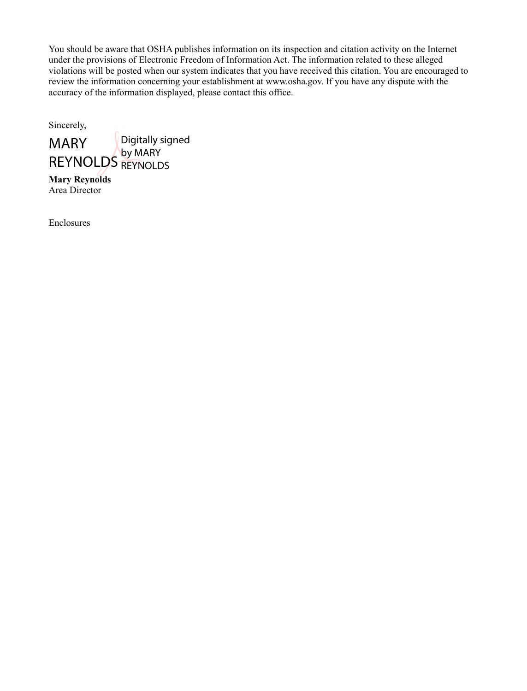You should be aware that OSHA publishes information on its inspection and citation activity on the Internet under the provisions of Electronic Freedom of Information Act. The information related to these alleged violations will be posted when our system indicates that you have received this citation. You are encouraged to review the information concerning your establishment at [www.osha.gov.](http://www.osha.gov/) If you have any dispute with the accuracy of the information displayed, please contact this office.

Sincerely,



**Mary Reynolds** Area Director

Enclosures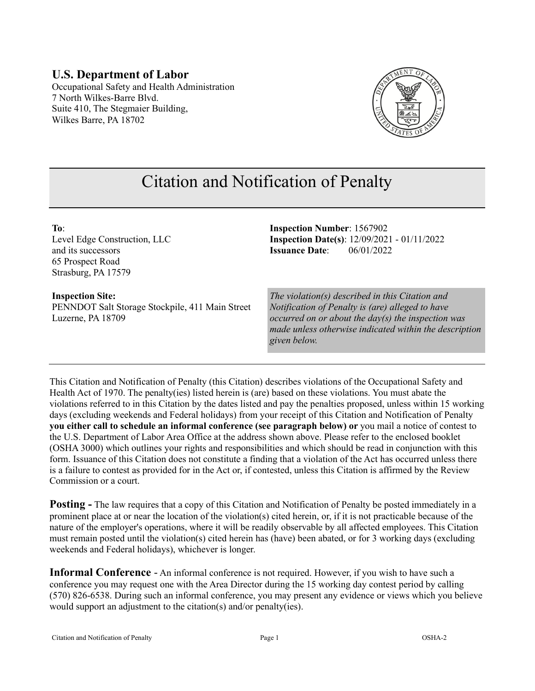#### **U.S. Department of Labor** Occupational Safety and Health Administration 7 North Wilkes-Barre Blvd. Suite 410, The Stegmaier Building, Wilkes Barre, PA 18702



# Citation and Notification of Penalty

**To**: Level Edge Construction, LLC and its successors 65 Prospect Road Strasburg, PA 17579

#### **Inspection Site:**

PENNDOT Salt Storage Stockpile, 411 Main Street Luzerne, PA 18709

**Inspection Number**: 1567902 **Inspection Date(s)**: 12/09/2021 - 01/11/2022 **Issuance Date**: 06/01/2022

*The violation(s) described in this Citation and Notification of Penalty is (are) alleged to have occurred on or about the day(s) the inspection was made unless otherwise indicated within the description given below.* 

This Citation and Notification of Penalty (this Citation) describes violations of the Occupational Safety and Health Act of 1970. The penalty(ies) listed herein is (are) based on these violations. You must abate the violations referred to in this Citation by the dates listed and pay the penalties proposed, unless within 15 working days (excluding weekends and Federal holidays) from your receipt of this Citation and Notification of Penalty **you either call to schedule an informal conference (see paragraph below) or** you mail a notice of contest to the U.S. Department of Labor Area Office at the address shown above. Please refer to the enclosed booklet (OSHA 3000) which outlines your rights and responsibilities and which should be read in conjunction with this form. Issuance of this Citation does not constitute a finding that a violation of the Act has occurred unless there is a failure to contest as provided for in the Act or, if contested, unless this Citation is affirmed by the Review Commission or a court.

**Posting -** The law requires that a copy of this Citation and Notification of Penalty be posted immediately in a prominent place at or near the location of the violation(s) cited herein, or, if it is not practicable because of the nature of the employer's operations, where it will be readily observable by all affected employees. This Citation must remain posted until the violation(s) cited herein has (have) been abated, or for 3 working days (excluding weekends and Federal holidays), whichever is longer.

**Informal Conference** - An informal conference is not required. However, if you wish to have such a conference you may request one with the Area Director during the 15 working day contest period by calling (570) 826-6538. During such an informal conference, you may present any evidence or views which you believe would support an adjustment to the citation(s) and/or penalty(ies).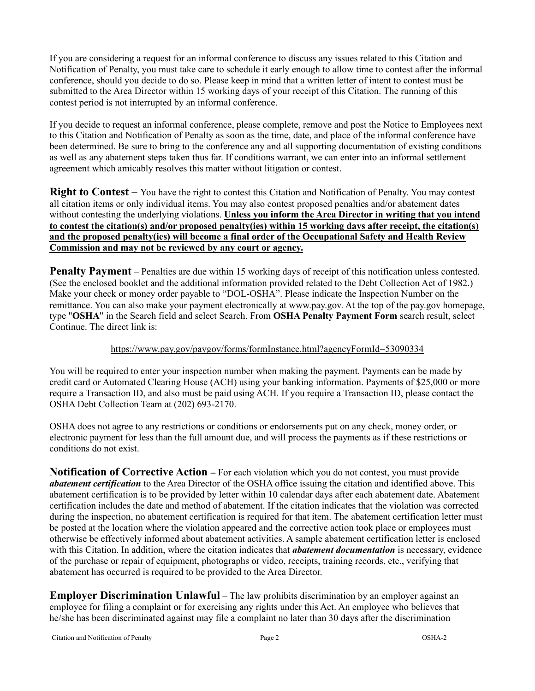If you are considering a request for an informal conference to discuss any issues related to this Citation and Notification of Penalty, you must take care to schedule it early enough to allow time to contest after the informal conference, should you decide to do so. Please keep in mind that a written letter of intent to contest must be submitted to the Area Director within 15 working days of your receipt of this Citation. The running of this contest period is not interrupted by an informal conference.

If you decide to request an informal conference, please complete, remove and post the Notice to Employees next to this Citation and Notification of Penalty as soon as the time, date, and place of the informal conference have been determined. Be sure to bring to the conference any and all supporting documentation of existing conditions as well as any abatement steps taken thus far. If conditions warrant, we can enter into an informal settlement agreement which amicably resolves this matter without litigation or contest.

**Right to Contest –** You have the right to contest this Citation and Notification of Penalty. You may contest all citation items or only individual items. You may also contest proposed penalties and/or abatement dates without contesting the underlying violations. **Unless you inform the Area Director in writing that you intend to contest the citation(s) and/or proposed penalty(ies) within 15 working days after receipt, the citation(s) and the proposed penalty(ies) will become a final order of the Occupational Safety and Health Review Commission and may not be reviewed by any court or agency.**

**Penalty Payment** – Penalties are due within 15 working days of receipt of this notification unless contested. (See the enclosed booklet and the additional information provided related to the Debt Collection Act of 1982.) Make your check or money order payable to "DOL-OSHA". Please indicate the Inspection Number on the remittance. You can also make your payment electronically at [www.pay.gov.](https://www.pay.gov/) At the top of the pay.gov homepage, type "**OSHA**" in the Search field and select Search. From **OSHA Penalty Payment Form** search result, select Continue. The direct link is:

#### <https://www.pay.gov/paygov/forms/formInstance.html?agencyFormId=53090334>

You will be required to enter your inspection number when making the payment. Payments can be made by credit card or Automated Clearing House (ACH) using your banking information. Payments of \$25,000 or more require a Transaction ID, and also must be paid using ACH. If you require a Transaction ID, please contact the OSHA Debt Collection Team at (202) 693-2170.

OSHA does not agree to any restrictions or conditions or endorsements put on any check, money order, or electronic payment for less than the full amount due, and will process the payments as if these restrictions or conditions do not exist.

**Notification of Corrective Action –** For each violation which you do not contest, you must provide *abatement certification* to the Area Director of the OSHA office issuing the citation and identified above. This abatement certification is to be provided by letter within 10 calendar days after each abatement date. Abatement certification includes the date and method of abatement. If the citation indicates that the violation was corrected during the inspection, no abatement certification is required for that item. The abatement certification letter must be posted at the location where the violation appeared and the corrective action took place or employees must otherwise be effectively informed about abatement activities. A sample abatement certification letter is enclosed with this Citation. In addition, where the citation indicates that *abatement documentation* is necessary, evidence of the purchase or repair of equipment, photographs or video, receipts, training records, etc., verifying that abatement has occurred is required to be provided to the Area Director.

**Employer Discrimination Unlawful** – The law prohibits discrimination by an employer against an employee for filing a complaint or for exercising any rights under this Act. An employee who believes that he/she has been discriminated against may file a complaint no later than 30 days after the discrimination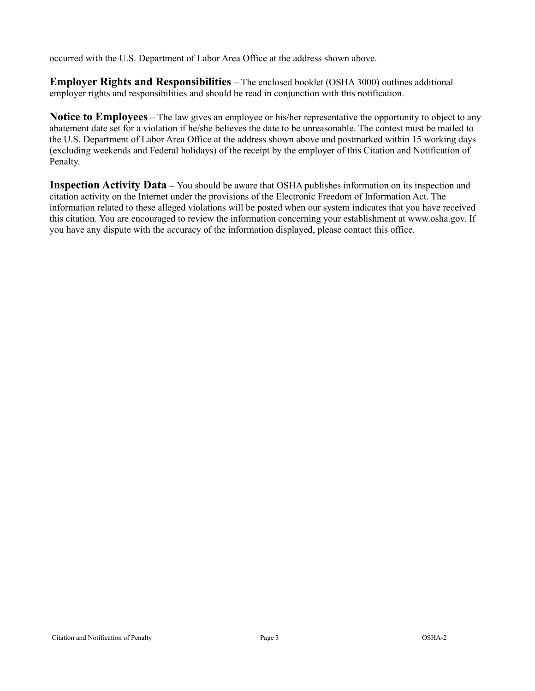occurred with the U.S. Department of Labor Area Office at the address shown above.

**Employer Rights and Responsibilities** – The enclosed booklet (OSHA 3000) outlines additional employer rights and responsibilities and should be read in conjunction with this notification.

**Notice to Employees** – The law gives an employee or his/her representative the opportunity to object to any abatement date set for a violation if he/she believes the date to be unreasonable. The contest must be mailed to the U.S. Department of Labor Area Office at the address shown above and postmarked within 15 working days (excluding weekends and Federal holidays) of the receipt by the employer of this Citation and Notification of Penalty.

**Inspection Activity Data –** You should be aware that OSHA publishes information on its inspection and citation activity on the Internet under the provisions of the Electronic Freedom of Information Act. The information related to these alleged violations will be posted when our system indicates that you have received this citation. You are encouraged to review the information concerning your establishment at www.osha.gov. If you have any dispute with the accuracy of the information displayed, please contact this office.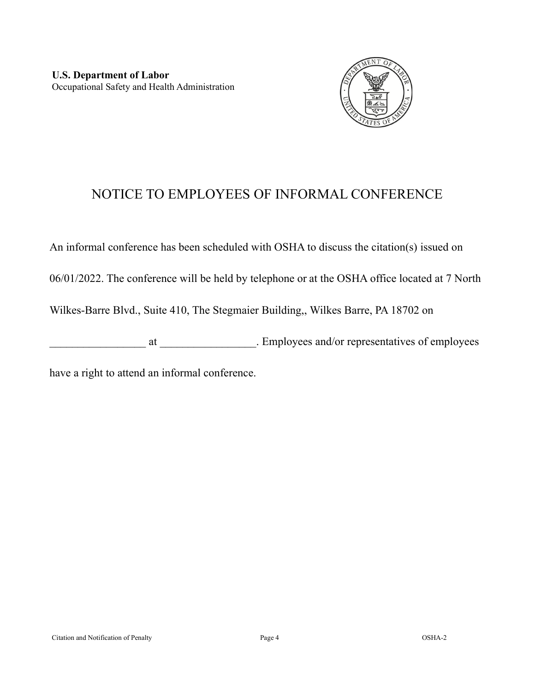

## NOTICE TO EMPLOYEES OF INFORMAL CONFERENCE

An informal conference has been scheduled with OSHA to discuss the citation(s) issued on

06/01/2022. The conference will be held by telephone or at the OSHA office located at 7 North

Wilkes-Barre Blvd., Suite 410, The Stegmaier Building,, Wilkes Barre, PA 18702 on

external at \_\_\_\_\_\_\_\_\_\_\_\_\_\_\_\_\_\_. Employees and/or representatives of employees

have a right to attend an informal conference.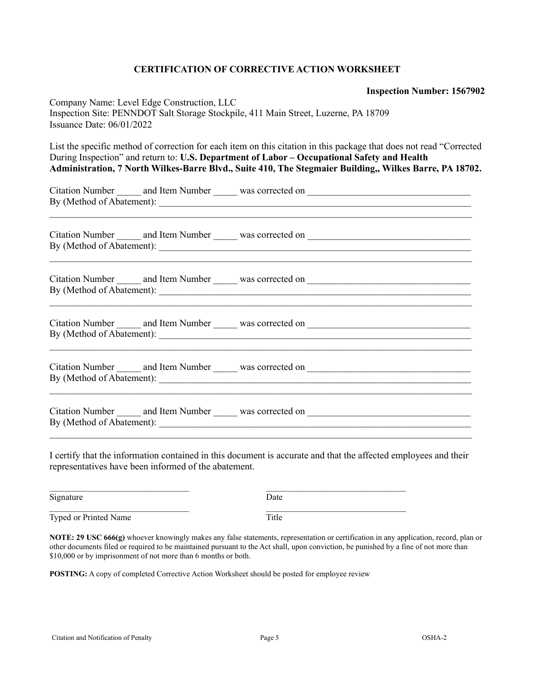#### **CERTIFICATION OF CORRECTIVE ACTION WORKSHEET**

**Inspection Number: 1567902** 

| Company Name: Level Edge Construction, LLC<br>Inspection Site: PENNDOT Salt Storage Stockpile, 411 Main Street, Luzerne, PA 18709<br>Issuance Date: 06/01/2022<br>List the specific method of correction for each item on this citation in this package that does not read "Corrected"<br>During Inspection" and return to: U.S. Department of Labor - Occupational Safety and Health<br>Administration, 7 North Wilkes-Barre Blvd., Suite 410, The Stegmaier Building,, Wilkes Barre, PA 18702. |  |  |  |
|--------------------------------------------------------------------------------------------------------------------------------------------------------------------------------------------------------------------------------------------------------------------------------------------------------------------------------------------------------------------------------------------------------------------------------------------------------------------------------------------------|--|--|--|
|                                                                                                                                                                                                                                                                                                                                                                                                                                                                                                  |  |  |  |
|                                                                                                                                                                                                                                                                                                                                                                                                                                                                                                  |  |  |  |
|                                                                                                                                                                                                                                                                                                                                                                                                                                                                                                  |  |  |  |
|                                                                                                                                                                                                                                                                                                                                                                                                                                                                                                  |  |  |  |
|                                                                                                                                                                                                                                                                                                                                                                                                                                                                                                  |  |  |  |
|                                                                                                                                                                                                                                                                                                                                                                                                                                                                                                  |  |  |  |

I certify that the information contained in this document is accurate and that the affected employees and their representatives have been informed of the abatement.

| Signature             | Date  |
|-----------------------|-------|
| Typed or Printed Name | Title |

**NOTE: 29 USC 666(g)** whoever knowingly makes any false statements, representation or certification in any application, record, plan or other documents filed or required to be maintained pursuant to the Act shall, upon conviction, be punished by a fine of not more than \$10,000 or by imprisonment of not more than 6 months or both.

**POSTING:** A copy of completed Corrective Action Worksheet should be posted for employee review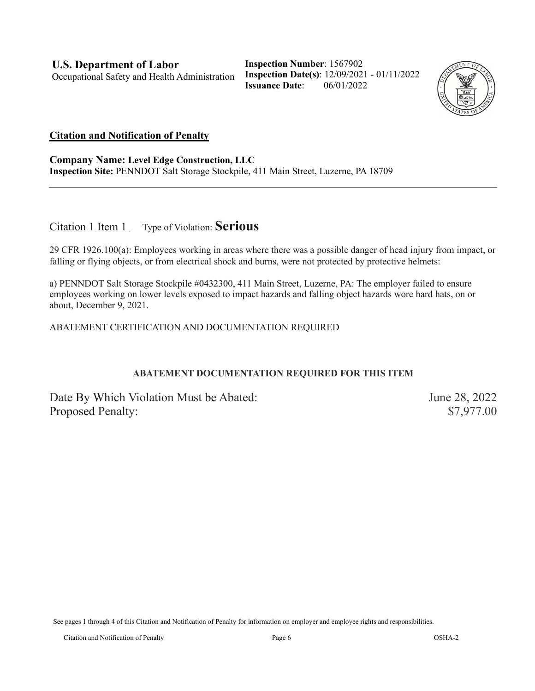**Inspection Number**: 1567902 **Inspection Date(s)**: 12/09/2021 - 01/11/2022 **Issuance Date**: 06/01/2022



#### **Citation and Notification of Penalty**

**Company Name: Level Edge Construction, LLC Inspection Site:** PENNDOT Salt Storage Stockpile, 411 Main Street, Luzerne, PA 18709

Citation 1 Item 1 Type of Violation: **Serious**

29 CFR 1926.100(a): Employees working in areas where there was a possible danger of head injury from impact, or falling or flying objects, or from electrical shock and burns, were not protected by protective helmets:

a) PENNDOT Salt Storage Stockpile #0432300, 411 Main Street, Luzerne, PA: The employer failed to ensure employees working on lower levels exposed to impact hazards and falling object hazards wore hard hats, on or about, December 9, 2021.

ABATEMENT CERTIFICATION AND DOCUMENTATION REQUIRED

#### **ABATEMENT DOCUMENTATION REQUIRED FOR THIS ITEM**

Date By Which Violation Must be Abated: June 28, 2022 Proposed Penalty:  $$7,977.00$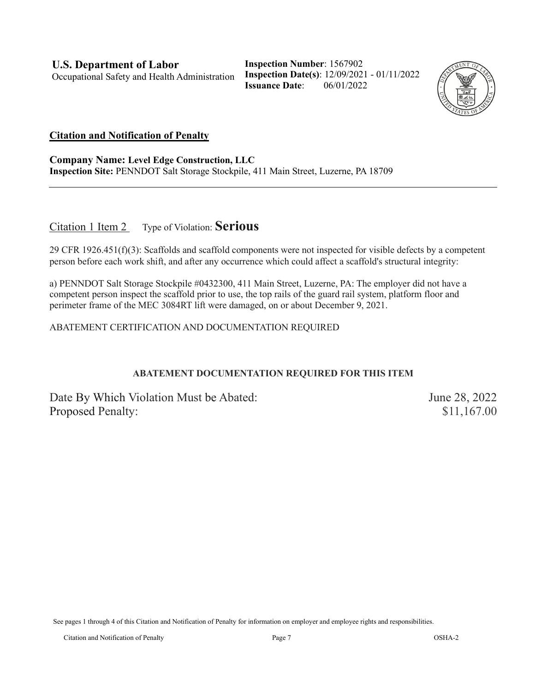**Inspection Number**: 1567902 **Inspection Date(s)**: 12/09/2021 - 01/11/2022 **Issuance Date**: 06/01/2022



#### **Citation and Notification of Penalty**

**Company Name: Level Edge Construction, LLC Inspection Site:** PENNDOT Salt Storage Stockpile, 411 Main Street, Luzerne, PA 18709

Citation 1 Item 2 Type of Violation: **Serious**

29 CFR 1926.451(f)(3): Scaffolds and scaffold components were not inspected for visible defects by a competent person before each work shift, and after any occurrence which could affect a scaffold's structural integrity:

a) PENNDOT Salt Storage Stockpile #0432300, 411 Main Street, Luzerne, PA: The employer did not have a competent person inspect the scaffold prior to use, the top rails of the guard rail system, platform floor and perimeter frame of the MEC 3084RT lift were damaged, on or about December 9, 2021.

ABATEMENT CERTIFICATION AND DOCUMENTATION REQUIRED

#### **ABATEMENT DOCUMENTATION REQUIRED FOR THIS ITEM**

Date By Which Violation Must be Abated: June 28, 2022 Proposed Penalty:  $$11,167.00$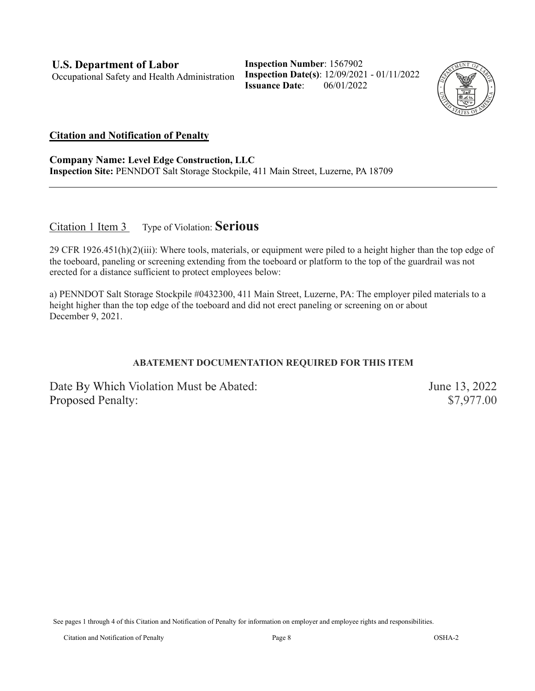**Inspection Number**: 1567902 **Inspection Date(s)**: 12/09/2021 - 01/11/2022 **Issuance Date**: 06/01/2022



#### **Citation and Notification of Penalty**

**Company Name: Level Edge Construction, LLC Inspection Site:** PENNDOT Salt Storage Stockpile, 411 Main Street, Luzerne, PA 18709

#### Citation 1 Item 3 Type of Violation: **Serious**

29 CFR 1926.451(h)(2)(iii): Where tools, materials, or equipment were piled to a height higher than the top edge of the toeboard, paneling or screening extending from the toeboard or platform to the top of the guardrail was not erected for a distance sufficient to protect employees below:

a) PENNDOT Salt Storage Stockpile #0432300, 411 Main Street, Luzerne, PA: The employer piled materials to a height higher than the top edge of the toeboard and did not erect paneling or screening on or about December 9, 2021.

#### **ABATEMENT DOCUMENTATION REQUIRED FOR THIS ITEM**

Date By Which Violation Must be Abated: June 13, 2022 Proposed Penalty:  $$7,977.00$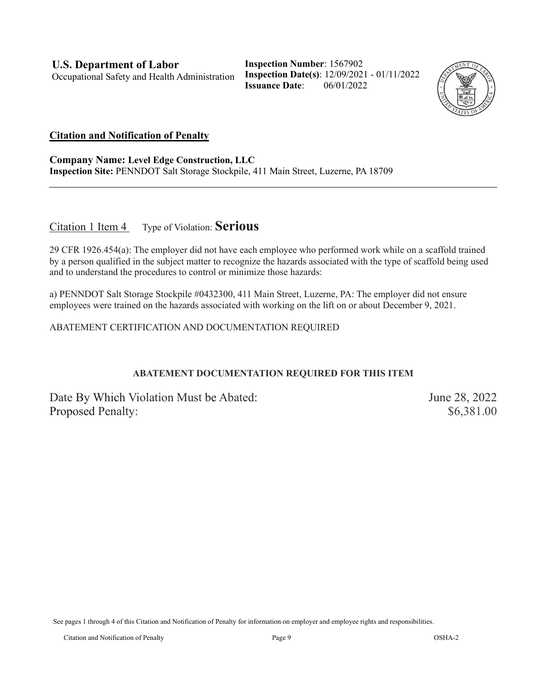**Inspection Number**: 1567902 **Inspection Date(s)**: 12/09/2021 - 01/11/2022 **Issuance Date**: 06/01/2022



#### **Citation and Notification of Penalty**

**Company Name: Level Edge Construction, LLC Inspection Site:** PENNDOT Salt Storage Stockpile, 411 Main Street, Luzerne, PA 18709

Citation 1 Item 4 Type of Violation: **Serious**

29 CFR 1926.454(a): The employer did not have each employee who performed work while on a scaffold trained by a person qualified in the subject matter to recognize the hazards associated with the type of scaffold being used and to understand the procedures to control or minimize those hazards:

a) PENNDOT Salt Storage Stockpile #0432300, 411 Main Street, Luzerne, PA: The employer did not ensure employees were trained on the hazards associated with working on the lift on or about December 9, 2021.

ABATEMENT CERTIFICATION AND DOCUMENTATION REQUIRED

#### **ABATEMENT DOCUMENTATION REQUIRED FOR THIS ITEM**

Date By Which Violation Must be Abated: June 28, 2022 Proposed Penalty:  $$6,381.00$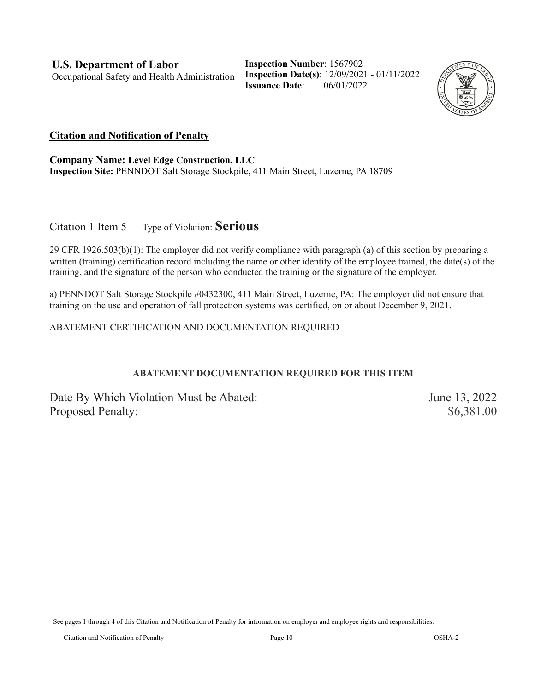**Inspection Number**: 1567902 **Inspection Date(s)**: 12/09/2021 - 01/11/2022 **Issuance Date**: 06/01/2022



#### **Citation and Notification of Penalty**

**Company Name: Level Edge Construction, LLC Inspection Site:** PENNDOT Salt Storage Stockpile, 411 Main Street, Luzerne, PA 18709

Citation 1 Item 5 Type of Violation: **Serious**

29 CFR 1926.503(b)(1): The employer did not verify compliance with paragraph (a) of this section by preparing a written (training) certification record including the name or other identity of the employee trained, the date(s) of the training, and the signature of the person who conducted the training or the signature of the employer.

a) PENNDOT Salt Storage Stockpile #0432300, 411 Main Street, Luzerne, PA: The employer did not ensure that training on the use and operation of fall protection systems was certified, on or about December 9, 2021.

ABATEMENT CERTIFICATION AND DOCUMENTATION REQUIRED

#### **ABATEMENT DOCUMENTATION REQUIRED FOR THIS ITEM**

Date By Which Violation Must be Abated: June 13, 2022 Proposed Penalty:  $$6,381.00$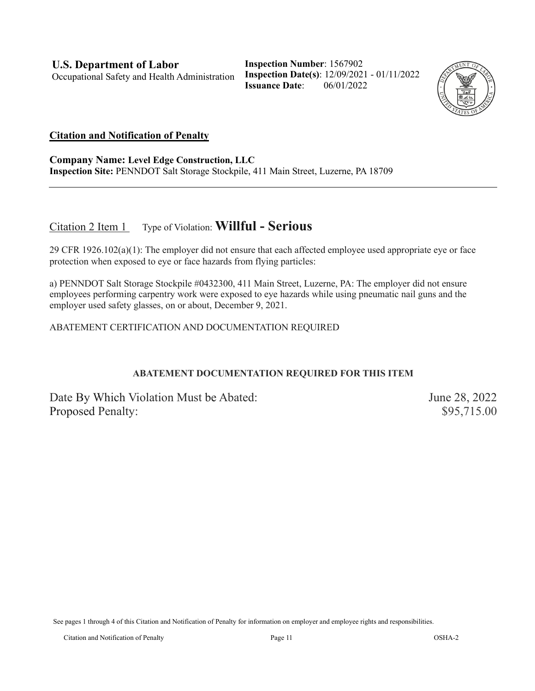**Inspection Number**: 1567902 **Inspection Date(s)**: 12/09/2021 - 01/11/2022 **Issuance Date**: 06/01/2022



#### **Citation and Notification of Penalty**

**Company Name: Level Edge Construction, LLC Inspection Site:** PENNDOT Salt Storage Stockpile, 411 Main Street, Luzerne, PA 18709

### Citation 2 Item 1 Type of Violation: **Willful - Serious**

29 CFR 1926.102(a)(1): The employer did not ensure that each affected employee used appropriate eye or face protection when exposed to eye or face hazards from flying particles:

a) PENNDOT Salt Storage Stockpile #0432300, 411 Main Street, Luzerne, PA: The employer did not ensure employees performing carpentry work were exposed to eye hazards while using pneumatic nail guns and the employer used safety glasses, on or about, December 9, 2021.

ABATEMENT CERTIFICATION AND DOCUMENTATION REQUIRED

#### **ABATEMENT DOCUMENTATION REQUIRED FOR THIS ITEM**

Date By Which Violation Must be Abated: June 28, 2022 Proposed Penalty:  $$95,715.00$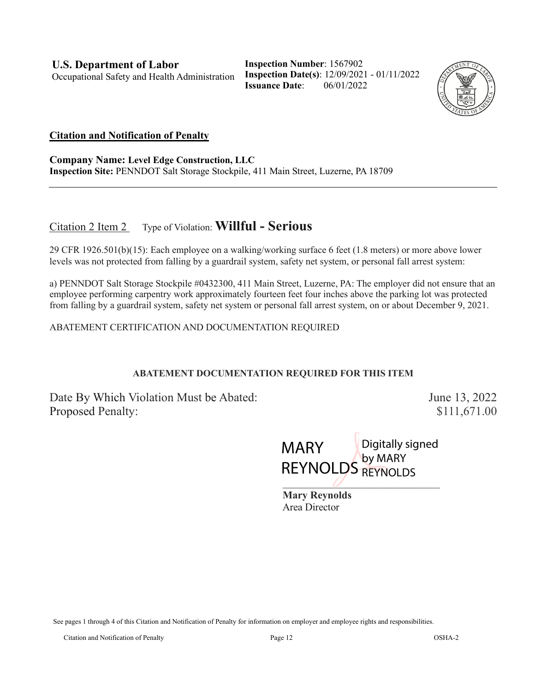**Inspection Number**: 1567902 **Inspection Date(s)**: 12/09/2021 - 01/11/2022 **Issuance Date**: 06/01/2022



#### **Citation and Notification of Penalty**

**Company Name: Level Edge Construction, LLC Inspection Site:** PENNDOT Salt Storage Stockpile, 411 Main Street, Luzerne, PA 18709

### Citation 2 Item 2 Type of Violation: **Willful - Serious**

29 CFR 1926.501(b)(15): Each employee on a walking/working surface 6 feet (1.8 meters) or more above lower levels was not protected from falling by a guardrail system, safety net system, or personal fall arrest system:

a) PENNDOT Salt Storage Stockpile #0432300, 411 Main Street, Luzerne, PA: The employer did not ensure that an employee performing carpentry work approximately fourteen feet four inches above the parking lot was protected from falling by a guardrail system, safety net system or personal fall arrest system, on or about December 9, 2021.

#### ABATEMENT CERTIFICATION AND DOCUMENTATION REQUIRED

#### **ABATEMENT DOCUMENTATION REQUIRED FOR THIS ITEM**

Date By Which Violation Must be Abated: June 13, 2022 Proposed Penalty:  $$111,671.00$ 

 $\omega$  . The contract of the contract of the contract of the contract of the contract of the contract of the contract of the contract of the contract of the contract of the contract of the contract of the contract of the co MARY **REYNOLDS** Digitally signed by MARY REYNOLDS

**Mary Reynolds** Area Director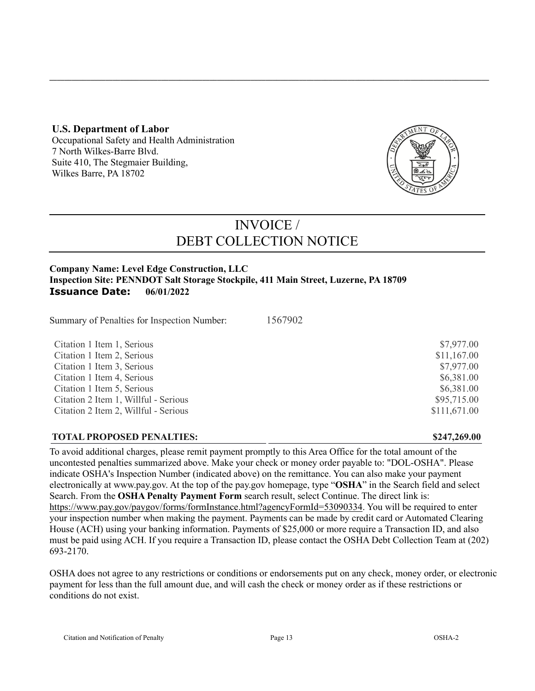#### **U.S. Department of Labor**

Occupational Safety and Health Administration 7 North Wilkes-Barre Blvd. Suite 410, The Stegmaier Building, Wilkes Barre, PA 18702



# INVOICE / DEBT COLLECTION NOTICE

**\_\_\_\_\_\_\_\_\_\_\_\_\_\_\_\_\_\_\_\_\_\_\_\_\_\_\_\_\_\_\_\_\_\_\_\_\_\_\_\_\_\_\_\_\_\_\_\_\_\_\_\_\_\_\_\_\_\_\_\_\_\_\_\_\_\_\_\_\_\_\_\_\_\_\_\_\_\_\_\_\_\_\_\_\_\_\_\_\_\_\_\_\_\_\_\_\_\_\_\_\_\_\_\_\_\_\_\_\_\_\_\_\_\_\_\_\_\_**

#### **Company Name: Level Edge Construction, LLC Inspection Site: PENNDOT Salt Storage Stockpile, 411 Main Street, Luzerne, PA 18709 Issuance Date: 06/01/2022**

Summary of Penalties for Inspection Number:1567902

Citation 1 Item 1, Serious **\$7,977.00** S Citation 1 Item 2, Serious  $\frac{11,167.00}{2}$ Citation 1 Item 3, Serious  $$7.977.00$ Citation 1 Item 4, Serious  $\frac{1}{2}$  S6.381.00 Citation 1 Item 5, Serious  $$6,381.00$ Citation 2 Item 1, Willful - Serious  $$95,715.00$ Citation 2 Item 2, Willful - Serious  $$111,671.00$ 

#### **TOTAL PROPOSED PENALTIES: \$247,269.00**

To avoid additional charges, please remit payment promptly to this Area Office for the total amount of the uncontested penalties summarized above. Make your check or money order payable to: "DOL-OSHA". Please indicate OSHA's Inspection Number (indicated above) on the remittance. You can also make your payment electronically at [www.pay.gov.](https://www.pay.gov/) At the top of the pay.gov homepage, type "**OSHA**" in the Search field and select Search. From the **OSHA Penalty Payment Form** search result, select Continue. The direct link is: [https://www.pay.gov/paygov/forms/formInstance.html?agencyFormId=53090334.](https://www.pay.gov/paygov/forms/formInstance.html?agencyFormId=53090334) You will be required to enter your inspection number when making the payment. Payments can be made by credit card or Automated Clearing House (ACH) using your banking information. Payments of \$25,000 or more require a Transaction ID, and also must be paid using ACH. If you require a Transaction ID, please contact the OSHA Debt Collection Team at (202) 693-2170.

OSHA does not agree to any restrictions or conditions or endorsements put on any check, money order, or electronic payment for less than the full amount due, and will cash the check or money order as if these restrictions or conditions do not exist.